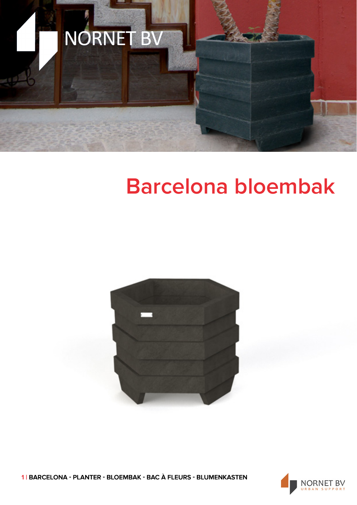

## **Barcelona bloembak**



1 | BARCELONA - PLANTER - BLOEMBAK - BAC À FLEURS - BLUMENKASTEN

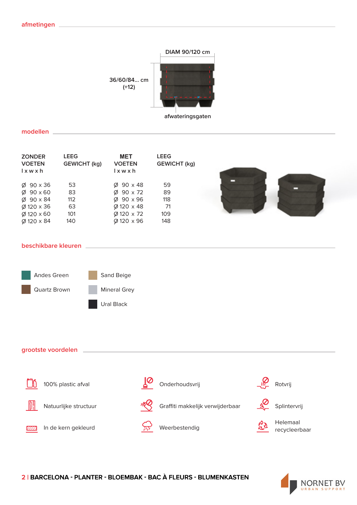

**modellen**

| <b>ZONDER</b><br><b>VOETEN</b><br>$l \times w \times h$ | <b>LEEG</b><br><b>GEWICHT</b> (kg) | <b>MET</b><br><b>VOETEN</b><br>$l \times w \times h$ | <b>LEEG</b><br><b>GEWICHT</b> (kg) |
|---------------------------------------------------------|------------------------------------|------------------------------------------------------|------------------------------------|
| $\varnothing$ 90 x 36                                   | 53                                 | $\varnothing$ 90 x 48                                | 59                                 |
| $\varnothing$ 90 x 60                                   | 83                                 | $\varnothing$ 90 x 72                                | 89                                 |
| $\varnothing$ 90 x 84                                   | 112                                | $\varnothing$ 90 x 96                                | 118                                |
| $\varnothing$ 120 x 36                                  | 63                                 | Ø 120 x 48                                           | 71                                 |
| $\varnothing$ 120 x 60                                  | 101                                | Ø 120 x 72                                           | 109                                |
| $\varnothing$ 120 x 84                                  | 140                                | Ø 120 x 96                                           | 148                                |

## **beschikbare kleuren**